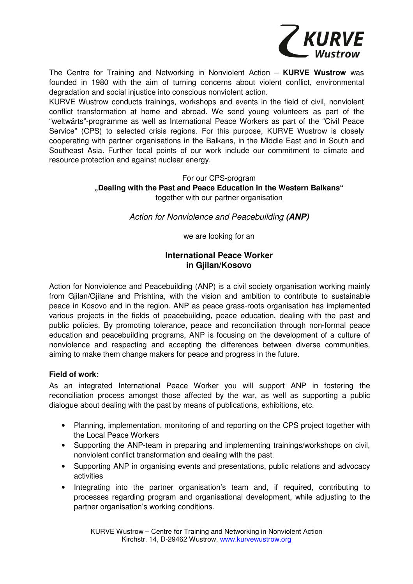

The Centre for Training and Networking in Nonviolent Action – **KURVE Wustrow** was founded in 1980 with the aim of turning concerns about violent conflict, environmental degradation and social injustice into conscious nonviolent action.

KURVE Wustrow conducts trainings, workshops and events in the field of civil, nonviolent conflict transformation at home and abroad. We send young volunteers as part of the "weltwärts"-programme as well as International Peace Workers as part of the "Civil Peace Service" (CPS) to selected crisis regions. For this purpose, KURVE Wustrow is closely cooperating with partner organisations in the Balkans, in the Middle East and in South and Southeast Asia. Further focal points of our work include our commitment to climate and resource protection and against nuclear energy.

# For our CPS-program

# **"Dealing with the Past and Peace Education in the Western Balkans"**

together with our partner organisation

Action for Nonviolence and Peacebuilding **(ANP)**

we are looking for an

## **International Peace Worker in Gjilan/Kosovo**

Action for Nonviolence and Peacebuilding (ANP) is a civil society organisation working mainly from Gjilan/Gjilane and Prishtina, with the vision and ambition to contribute to sustainable peace in Kosovo and in the region. ANP as peace grass-roots organisation has implemented various projects in the fields of peacebuilding, peace education, dealing with the past and public policies. By promoting tolerance, peace and reconciliation through non-formal peace education and peacebuilding programs, ANP is focusing on the development of a culture of nonviolence and respecting and accepting the differences between diverse communities, aiming to make them change makers for peace and progress in the future.

### **Field of work:**

As an integrated International Peace Worker you will support ANP in fostering the reconciliation process amongst those affected by the war, as well as supporting a public dialogue about dealing with the past by means of publications, exhibitions, etc.

- Planning, implementation, monitoring of and reporting on the CPS project together with the Local Peace Workers
- Supporting the ANP-team in preparing and implementing trainings/workshops on civil, nonviolent conflict transformation and dealing with the past.
- Supporting ANP in organising events and presentations, public relations and advocacy activities
- Integrating into the partner organisation's team and, if required, contributing to processes regarding program and organisational development, while adjusting to the partner organisation's working conditions.